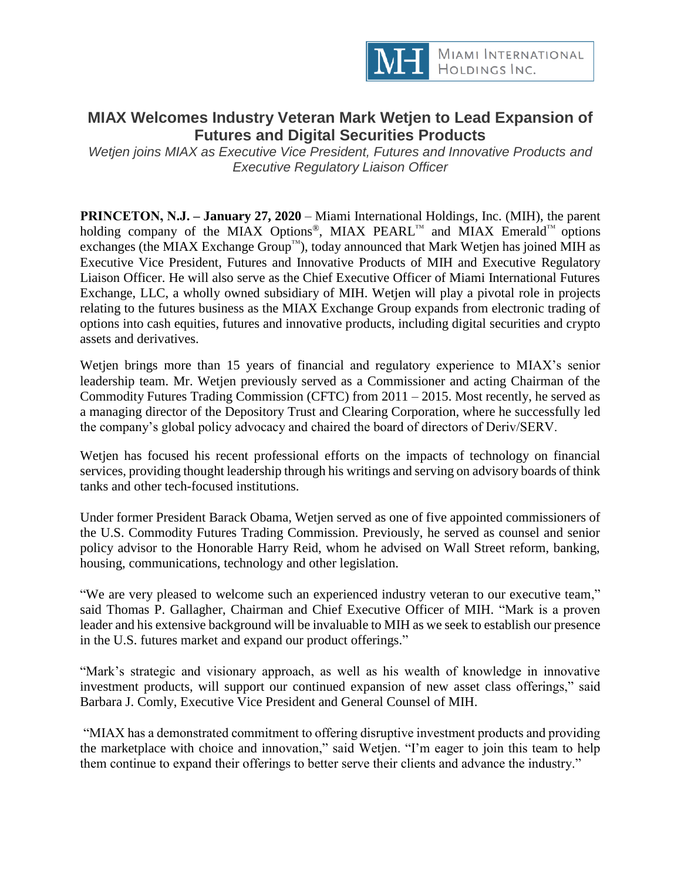

## **MIAX Welcomes Industry Veteran Mark Wetjen to Lead Expansion of Futures and Digital Securities Products**

*Wetjen joins MIAX as Executive Vice President, Futures and Innovative Products and Executive Regulatory Liaison Officer*

**PRINCETON, N.J. – January 27, 2020** – Miami International Holdings, Inc. (MIH), the parent holding company of the MIAX Options®, MIAX PEARL™ and MIAX Emerald™ options exchanges (the MIAX Exchange Group™), today announced that Mark Wetjen has joined MIH as Executive Vice President, Futures and Innovative Products of MIH and Executive Regulatory Liaison Officer. He will also serve as the Chief Executive Officer of Miami International Futures Exchange, LLC, a wholly owned subsidiary of MIH. Wetjen will play a pivotal role in projects relating to the futures business as the MIAX Exchange Group expands from electronic trading of options into cash equities, futures and innovative products, including digital securities and crypto assets and derivatives.

Wetjen brings more than 15 years of financial and regulatory experience to MIAX's senior leadership team. Mr. Wetjen previously served as a Commissioner and acting Chairman of the Commodity Futures Trading Commission (CFTC) from 2011 – 2015. Most recently, he served as a managing director of the Depository Trust and Clearing Corporation, where he successfully led the company's global policy advocacy and chaired the board of directors of Deriv/SERV.

Wetjen has focused his recent professional efforts on the impacts of technology on financial services, providing thought leadership through his writings and serving on advisory boards of think tanks and other tech-focused institutions.

Under former President Barack Obama, Wetjen served as one of five appointed commissioners of the U.S. Commodity Futures Trading Commission. Previously, he served as counsel and senior policy advisor to the Honorable Harry Reid, whom he advised on Wall Street reform, banking, housing, communications, technology and other legislation.

"We are very pleased to welcome such an experienced industry veteran to our executive team," said Thomas P. Gallagher, Chairman and Chief Executive Officer of MIH. "Mark is a proven leader and his extensive background will be invaluable to MIH as we seek to establish our presence in the U.S. futures market and expand our product offerings."

"Mark's strategic and visionary approach, as well as his wealth of knowledge in innovative investment products, will support our continued expansion of new asset class offerings," said Barbara J. Comly, Executive Vice President and General Counsel of MIH.

"MIAX has a demonstrated commitment to offering disruptive investment products and providing the marketplace with choice and innovation," said Wetjen. "I'm eager to join this team to help them continue to expand their offerings to better serve their clients and advance the industry."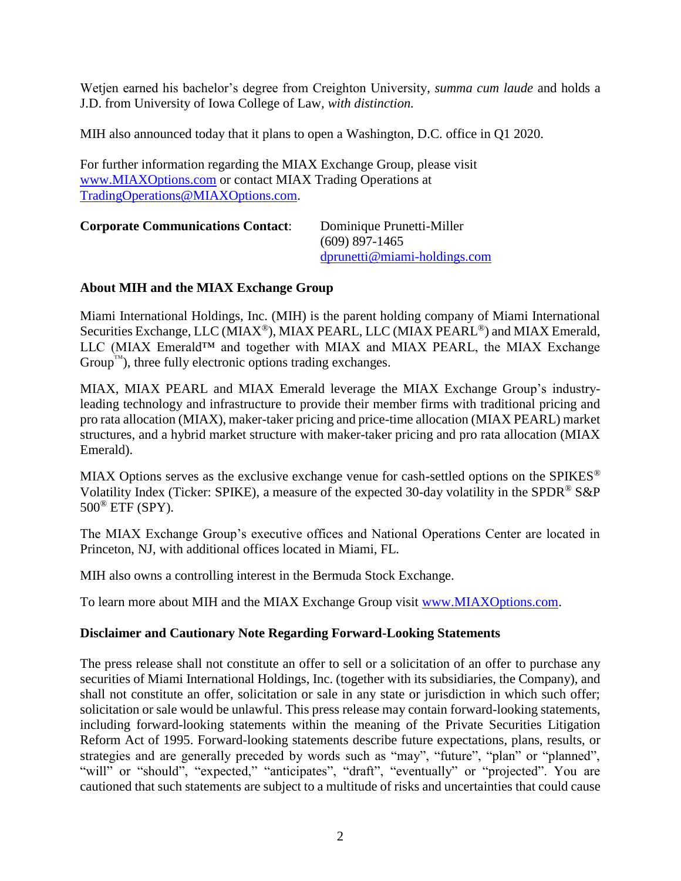Wetjen earned his bachelor's degree from Creighton University, *summa cum laude* and holds a J.D. from University of Iowa College of Law*, with distinction.*

MIH also announced today that it plans to open a Washington, D.C. office in Q1 2020.

For further information regarding the MIAX Exchange Group, please visit [www.MIAXOptions.com](http://www.miaxoptions.com/) or contact MIAX Trading Operations at [TradingOperations@MIAXOptions.com.](mailto:TradingOperations@MIAXOptions.com)

| <b>Corporate Communications Contact:</b> | Dominique Prunetti-Miller       |
|------------------------------------------|---------------------------------|
|                                          | $(609)$ 897-1465                |
|                                          | $d$ prunetti@miami-holdings.com |

## **About MIH and the MIAX Exchange Group**

Miami International Holdings, Inc. (MIH) is the parent holding company of Miami International Securities Exchange, LLC (MIAX<sup>®</sup>), MIAX PEARL, LLC (MIAX PEARL<sup>®</sup>) and MIAX Emerald, LLC (MIAX Emerald<sup>TM</sup> and together with MIAX and MIAX PEARL, the MIAX Exchange  $Group^{\mathbb{N}}$ , three fully electronic options trading exchanges.

MIAX, MIAX PEARL and MIAX Emerald leverage the MIAX Exchange Group's industryleading technology and infrastructure to provide their member firms with traditional pricing and pro rata allocation (MIAX), maker-taker pricing and price-time allocation (MIAX PEARL) market structures, and a hybrid market structure with maker-taker pricing and pro rata allocation (MIAX Emerald).

MIAX Options serves as the exclusive exchange venue for cash-settled options on the SPIKES® Volatility Index (Ticker: SPIKE), a measure of the expected 30-day volatility in the SPDR® S&P 500® ETF (SPY).

The MIAX Exchange Group's executive offices and National Operations Center are located in Princeton, NJ, with additional offices located in Miami, FL.

MIH also owns a controlling interest in the Bermuda Stock Exchange.

To learn more about MIH and the MIAX Exchange Group visit [www.MIAXOptions.com.](http://www.miaxoptions.com/)

## **Disclaimer and Cautionary Note Regarding Forward-Looking Statements**

The press release shall not constitute an offer to sell or a solicitation of an offer to purchase any securities of Miami International Holdings, Inc. (together with its subsidiaries, the Company), and shall not constitute an offer, solicitation or sale in any state or jurisdiction in which such offer; solicitation or sale would be unlawful. This press release may contain forward-looking statements, including forward-looking statements within the meaning of the Private Securities Litigation Reform Act of 1995. Forward-looking statements describe future expectations, plans, results, or strategies and are generally preceded by words such as "may", "future", "plan" or "planned", "will" or "should", "expected," "anticipates", "draft", "eventually" or "projected". You are cautioned that such statements are subject to a multitude of risks and uncertainties that could cause